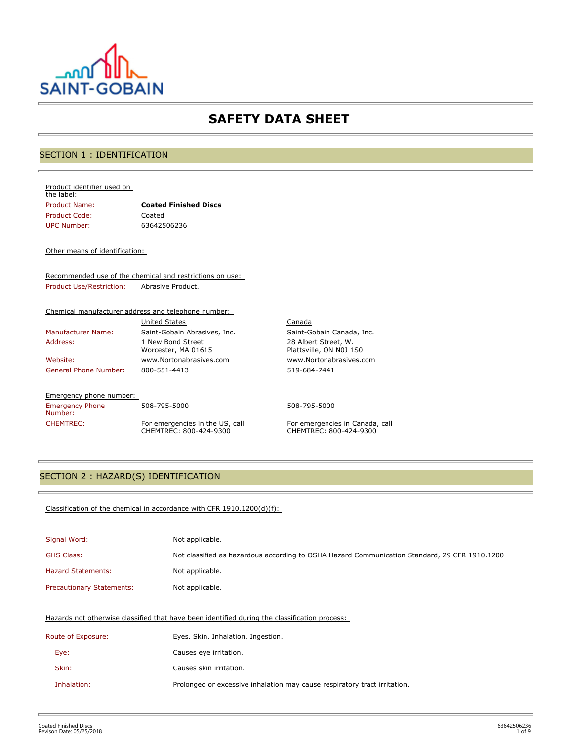

# **SAFETY DATA SHEET**

# SECTION 1 : IDENTIFICATION

#### Product identifier used on the label:

| Product Name: | <b>Coated Finished Discs</b> |
|---------------|------------------------------|
| Product Code: | Coated                       |
| UPC Number:   | 63642506236                  |

#### Other means of identification:

Recommended use of the chemical and restrictions on use: Product Use/Restriction: Abrasive Product.

#### Chemical manufacturer address and telephone number:

|                              | <b>United States</b>                     |
|------------------------------|------------------------------------------|
| <b>Manufacturer Name:</b>    | Saint-Gobain Abrasives, Inc.             |
| Address:                     | 1 New Bond Street<br>Worcester, MA 01615 |
| Website:                     | www.Nortonabrasives.com                  |
| <b>General Phone Number:</b> | 800-551-4413                             |

#### Emergency phone number:

Emergency Phone Number:

508-795-5000 508-795-5000 CHEMTREC: For emergencies in the US, call CHEMTREC: 800-424-9300

Canada Saint-Gobain Canada, Inc. 28 Albert Street, W. Plattsville, ON N0J 1S0 www.Nortonabrasives.com 519-684-7441

For emergencies in Canada, call CHEMTREC: 800-424-9300

## SECTION 2 : HAZARD(S) IDENTIFICATION

#### Classification of the chemical in accordance with CFR 1910.1200(d)(f):

| Signal Word:                     | Not applicable.                                                                               |
|----------------------------------|-----------------------------------------------------------------------------------------------|
| <b>GHS Class:</b>                | Not classified as hazardous according to OSHA Hazard Communication Standard, 29 CFR 1910.1200 |
| <b>Hazard Statements:</b>        | Not applicable.                                                                               |
| <b>Precautionary Statements:</b> | Not applicable.                                                                               |

#### Hazards not otherwise classified that have been identified during the classification process:

| Route of Exposure: | Eyes. Skin. Inhalation. Ingestion.                                        |
|--------------------|---------------------------------------------------------------------------|
| Eye:               | Causes eye irritation.                                                    |
| Skin:              | Causes skin irritation.                                                   |
| Inhalation:        | Prolonged or excessive inhalation may cause respiratory tract irritation. |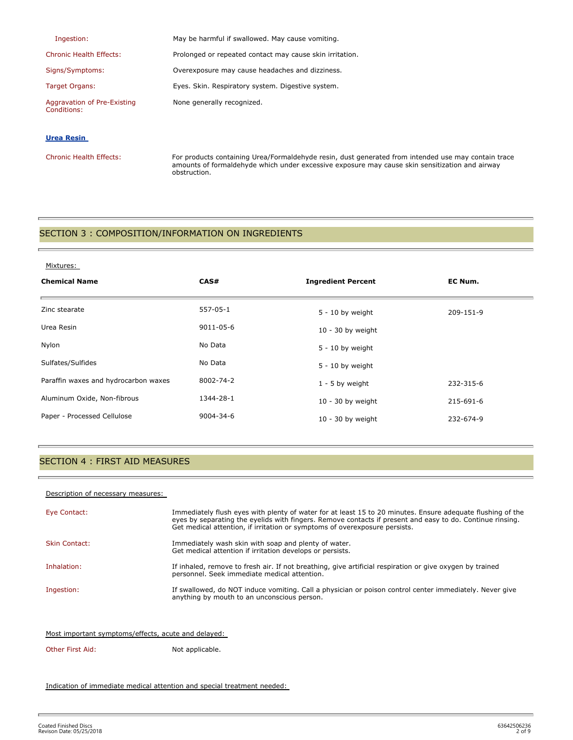| Ingestion:                                 | May be harmful if swallowed. May cause vomiting.         |
|--------------------------------------------|----------------------------------------------------------|
| <b>Chronic Health Effects:</b>             | Prolonged or repeated contact may cause skin irritation. |
| Signs/Symptoms:                            | Overexposure may cause headaches and dizziness.          |
| Target Organs:                             | Eyes. Skin. Respiratory system. Digestive system.        |
| Aggravation of Pre-Existing<br>Conditions: | None generally recognized.                               |

### **Urea Resin**

Chronic Health Effects: For products containing Urea/Formaldehyde resin, dust generated from intended use may contain trace amounts of formaldehyde which under excessive exposure may cause skin sensitization and airway obstruction.

### SECTION 3 : COMPOSITION/INFORMATION ON INGREDIENTS

### SECTION 4 : FIRST AID MEASURES

#### Description of necessary measures:

| Eye Contact:         | Immediately flush eyes with plenty of water for at least 15 to 20 minutes. Ensure adequate flushing of the<br>eyes by separating the eyelids with fingers. Remove contacts if present and easy to do. Continue rinsing.<br>Get medical attention, if irritation or symptoms of overexposure persists. |
|----------------------|-------------------------------------------------------------------------------------------------------------------------------------------------------------------------------------------------------------------------------------------------------------------------------------------------------|
| <b>Skin Contact:</b> | Immediately wash skin with soap and plenty of water.<br>Get medical attention if irritation develops or persists.                                                                                                                                                                                     |
| Inhalation:          | If inhaled, remove to fresh air. If not breathing, give artificial respiration or give oxygen by trained<br>personnel. Seek immediate medical attention.                                                                                                                                              |
| Ingestion:           | If swallowed, do NOT induce vomiting. Call a physician or poison control center immediately. Never give<br>anything by mouth to an unconscious person.                                                                                                                                                |

#### Most important symptoms/effects, acute and delayed:

### Other First Aid: Not applicable.

Indication of immediate medical attention and special treatment needed: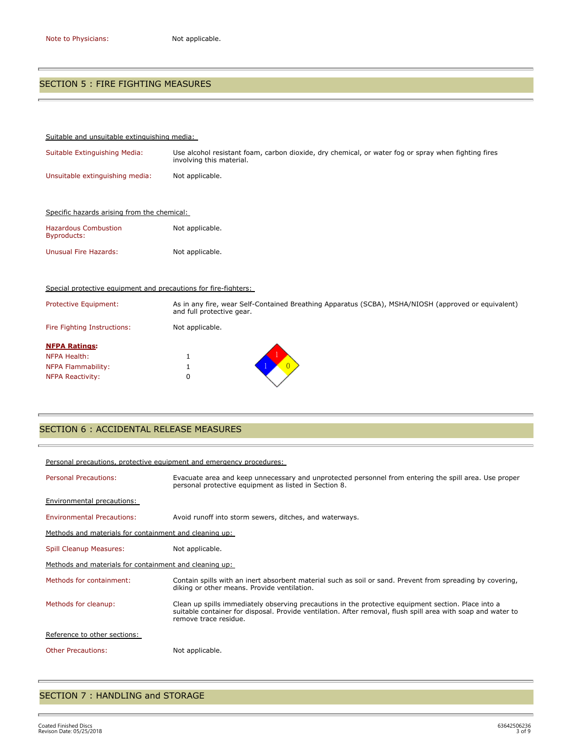t.

è

### SECTION 5 : FIRE FIGHTING MEASURES

| Suitable and unsuitable extinguishing media:                    |                                                                                                                                  |
|-----------------------------------------------------------------|----------------------------------------------------------------------------------------------------------------------------------|
| Suitable Extinguishing Media:                                   | Use alcohol resistant foam, carbon dioxide, dry chemical, or water fog or spray when fighting fires<br>involving this material.  |
| Unsuitable extinguishing media:                                 | Not applicable.                                                                                                                  |
|                                                                 |                                                                                                                                  |
| Specific hazards arising from the chemical:                     |                                                                                                                                  |
| <b>Hazardous Combustion</b><br>Byproducts:                      | Not applicable.                                                                                                                  |
| <b>Unusual Fire Hazards:</b>                                    | Not applicable.                                                                                                                  |
|                                                                 |                                                                                                                                  |
| Special protective equipment and precautions for fire-fighters: |                                                                                                                                  |
| <b>Protective Equipment:</b>                                    | As in any fire, wear Self-Contained Breathing Apparatus (SCBA), MSHA/NIOSH (approved or equivalent)<br>and full protective gear. |
| Fire Fighting Instructions:                                     | Not applicable.                                                                                                                  |
| <b>NFPA Ratings:</b>                                            |                                                                                                                                  |
| NFPA Health:                                                    | 1                                                                                                                                |
| <b>NFPA Flammability:</b>                                       | 1                                                                                                                                |
| <b>NFPA Reactivity:</b>                                         | 0                                                                                                                                |

# SECTION 6 : ACCIDENTAL RELEASE MEASURES

| Personal precautions, protective equipment and emergency procedures: |                                                                                                                                                                                                                                              |
|----------------------------------------------------------------------|----------------------------------------------------------------------------------------------------------------------------------------------------------------------------------------------------------------------------------------------|
| <b>Personal Precautions:</b>                                         | Evacuate area and keep unnecessary and unprotected personnel from entering the spill area. Use proper<br>personal protective equipment as listed in Section 8.                                                                               |
| Environmental precautions:                                           |                                                                                                                                                                                                                                              |
| <b>Environmental Precautions:</b>                                    | Avoid runoff into storm sewers, ditches, and waterways.                                                                                                                                                                                      |
| Methods and materials for containment and cleaning up:               |                                                                                                                                                                                                                                              |
| Spill Cleanup Measures:                                              | Not applicable.                                                                                                                                                                                                                              |
| Methods and materials for containment and cleaning up:               |                                                                                                                                                                                                                                              |
| Methods for containment:                                             | Contain spills with an inert absorbent material such as soil or sand. Prevent from spreading by covering,<br>diking or other means. Provide ventilation.                                                                                     |
| Methods for cleanup:                                                 | Clean up spills immediately observing precautions in the protective equipment section. Place into a<br>suitable container for disposal. Provide ventilation. After removal, flush spill area with soap and water to<br>remove trace residue. |
| Reference to other sections:                                         |                                                                                                                                                                                                                                              |
| <b>Other Precautions:</b>                                            | Not applicable.                                                                                                                                                                                                                              |

# SECTION 7 : HANDLING and STORAGE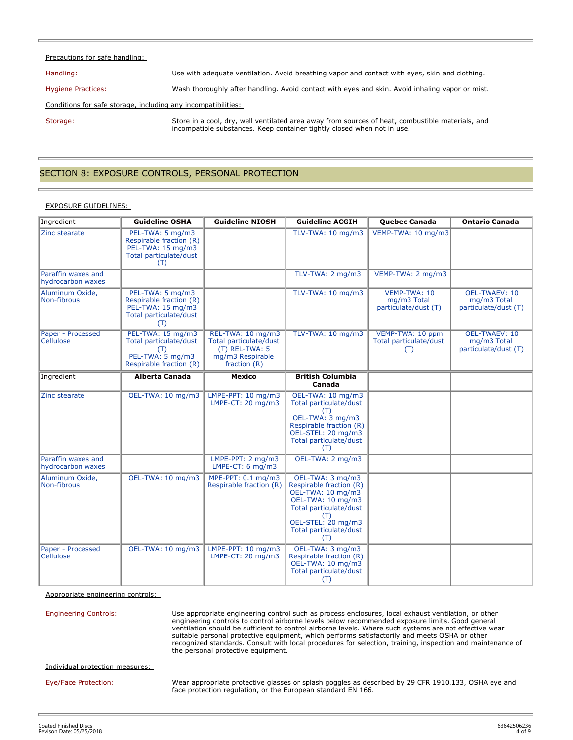#### Precautions for safe handling:

Handling: Use with adequate ventilation. Avoid breathing vapor and contact with eyes, skin and clothing.

Hygiene Practices: Wash thoroughly after handling. Avoid contact with eyes and skin. Avoid inhaling vapor or mist.

Conditions for safe storage, including any incompatibilities:

Storage: Store in a cool, dry, well ventilated area away from sources of heat, combustible materials, and incompatible substances. Keep container tightly closed when not in use.

### SECTION 8: EXPOSURE CONTROLS, PERSONAL PROTECTION

#### EXPOSURE GUIDELINES:

| Ingredient                              | <b>Guideline OSHA</b>                                                                             | <b>Guideline NIOSH</b>                                                                              | <b>Guideline ACGIH</b>                                                                                                                                                        | <b>Quebec Canada</b>                                | <b>Ontario Canada</b>                                       |
|-----------------------------------------|---------------------------------------------------------------------------------------------------|-----------------------------------------------------------------------------------------------------|-------------------------------------------------------------------------------------------------------------------------------------------------------------------------------|-----------------------------------------------------|-------------------------------------------------------------|
| Zinc stearate                           | PEL-TWA: 5 mg/m3<br>Respirable fraction (R)<br>PEL-TWA: 15 mg/m3<br>Total particulate/dust<br>(T) |                                                                                                     | TLV-TWA: 10 mg/m3                                                                                                                                                             | VEMP-TWA: 10 mg/m3                                  |                                                             |
| Paraffin waxes and<br>hydrocarbon waxes |                                                                                                   |                                                                                                     | TLV-TWA: 2 mg/m3                                                                                                                                                              | VEMP-TWA: 2 mg/m3                                   |                                                             |
| Aluminum Oxide,<br>Non-fibrous          | PEL-TWA: 5 mg/m3<br>Respirable fraction (R)<br>PEL-TWA: 15 mg/m3<br>Total particulate/dust<br>(T) |                                                                                                     | TLV-TWA: 10 mg/m3                                                                                                                                                             | VEMP-TWA: 10<br>mg/m3 Total<br>particulate/dust (T) | <b>OEL-TWAEV: 10</b><br>mg/m3 Total<br>particulate/dust (T) |
| Paper - Processed<br>Cellulose          | PEL-TWA: 15 mg/m3<br>Total particulate/dust<br>(T)<br>PEL-TWA: 5 mg/m3<br>Respirable fraction (R) | REL-TWA: 10 mg/m3<br>Total particulate/dust<br>(T) REL-TWA: 5<br>mg/m3 Respirable<br>fraction $(R)$ | TLV-TWA: 10 mg/m3                                                                                                                                                             | VEMP-TWA: 10 ppm<br>Total particulate/dust<br>(T)   | <b>OEL-TWAEV: 10</b><br>mg/m3 Total<br>particulate/dust (T) |
| Ingredient                              | <b>Alberta Canada</b>                                                                             | <b>Mexico</b>                                                                                       | <b>British Columbia</b><br>Canada                                                                                                                                             |                                                     |                                                             |
| Zinc stearate                           | OEL-TWA: 10 mg/m3                                                                                 | LMPE-PPT: 10 mg/m3<br>LMPE-CT: $20 \text{ mg/m}$ 3                                                  | OEL-TWA: 10 mg/m3<br>Total particulate/dust<br>(T)<br>OEL-TWA: 3 mg/m3<br>Respirable fraction (R)<br>OEL-STEL: 20 mg/m3<br>Total particulate/dust<br>(T)                      |                                                     |                                                             |
| Paraffin waxes and<br>hydrocarbon waxes |                                                                                                   | LMPE-PPT: 2 mg/m3<br>LMPE-CT: $6 \text{ mg/m3}$                                                     | OEL-TWA: 2 mg/m3                                                                                                                                                              |                                                     |                                                             |
| Aluminum Oxide,<br>Non-fibrous          | OEL-TWA: 10 mg/m3                                                                                 | MPE-PPT: 0.1 mg/m3<br>Respirable fraction (R)                                                       | OEL-TWA: 3 mg/m3<br>Respirable fraction (R)<br>OEL-TWA: 10 mg/m3<br>OEL-TWA: 10 mg/m3<br>Total particulate/dust<br>(T)<br>OEL-STEL: 20 mg/m3<br>Total particulate/dust<br>(T) |                                                     |                                                             |
| Paper - Processed<br>Cellulose          | OEL-TWA: 10 mg/m3                                                                                 | LMPE-PPT: 10 mg/m3<br>LMPE-CT: 20 mg/m3                                                             | OEL-TWA: 3 mg/m3<br>Respirable fraction (R)<br>OEL-TWA: 10 mg/m3<br>Total particulate/dust<br>(T)                                                                             |                                                     |                                                             |

Appropriate engineering controls:

Engineering Controls: Use appropriate engineering control such as process enclosures, local exhaust ventilation, or other engineering controls to control airborne levels below recommended exposure limits. Good general ventilation should be sufficient to control airborne levels. Where such systems are not effective wear suitable personal protective equipment, which performs satisfactorily and meets OSHA or other recognized standards. Consult with local procedures for selection, training, inspection and maintenance of the personal protective equipment.

Individual protection measures:

Eye/Face Protection: Wear appropriate protective glasses or splash goggles as described by 29 CFR 1910.133, OSHA eye and face protection regulation, or the European standard EN 166.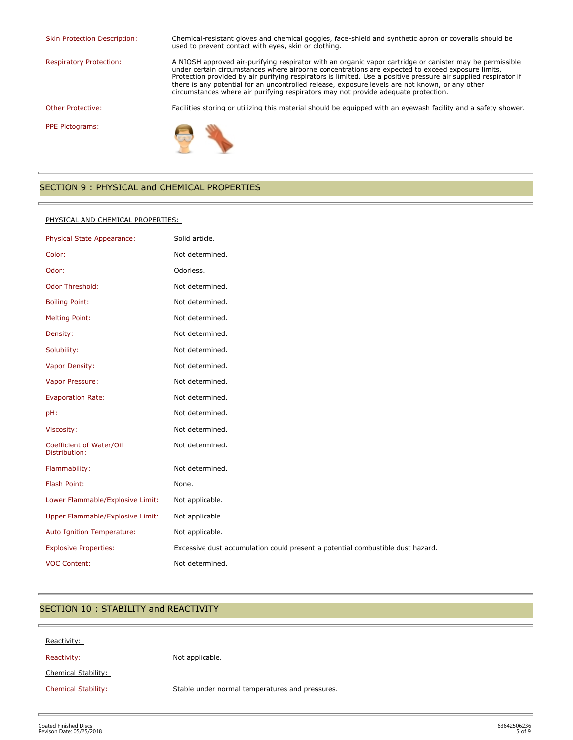Skin Protection Description: Chemical-resistant gloves and chemical goggles, face-shield and synthetic apron or coveralls should be

used to prevent contact with eyes, skin or clothing. Respiratory Protection: A NIOSH approved air-purifying respirator with an organic vapor cartridge or canister may be permissible under certain circumstances where airborne concentrations are expected to exceed exposure limits. Protection provided by air purifying respirators is limited. Use a positive pressure air supplied respirator if there is any potential for an uncontrolled release, exposure levels are not known, or any other

circumstances where air purifying respirators may not provide adequate protection.

Other Protective: Facilities storing or utilizing this material should be equipped with an eyewash facility and a safety shower.

PPE Pictograms:



### SECTION 9 : PHYSICAL and CHEMICAL PROPERTIES

#### PHYSICAL AND CHEMICAL PROPERTIES:

| Physical State Appearance:                | Solid article.                                                                 |
|-------------------------------------------|--------------------------------------------------------------------------------|
| Color:                                    | Not determined.                                                                |
| Odor:                                     | Odorless.                                                                      |
| <b>Odor Threshold:</b>                    | Not determined.                                                                |
| <b>Boiling Point:</b>                     | Not determined.                                                                |
| <b>Melting Point:</b>                     | Not determined.                                                                |
| Density:                                  | Not determined.                                                                |
| Solubility:                               | Not determined.                                                                |
| Vapor Density:                            | Not determined.                                                                |
| Vapor Pressure:                           | Not determined.                                                                |
| <b>Evaporation Rate:</b>                  | Not determined.                                                                |
| pH:                                       | Not determined.                                                                |
| Viscosity:                                | Not determined.                                                                |
| Coefficient of Water/Oil<br>Distribution: | Not determined.                                                                |
| Flammability:                             | Not determined.                                                                |
| Flash Point:                              | None.                                                                          |
| Lower Flammable/Explosive Limit:          | Not applicable.                                                                |
| Upper Flammable/Explosive Limit:          | Not applicable.                                                                |
| Auto Ignition Temperature:                | Not applicable.                                                                |
| <b>Explosive Properties:</b>              | Excessive dust accumulation could present a potential combustible dust hazard. |
| <b>VOC Content:</b>                       | Not determined.                                                                |

### SECTION 10 : STABILITY and REACTIVITY

| Reactivity:                |                                                 |
|----------------------------|-------------------------------------------------|
| Reactivity:                | Not applicable.                                 |
| Chemical Stability:        |                                                 |
| <b>Chemical Stability:</b> | Stable under normal temperatures and pressures. |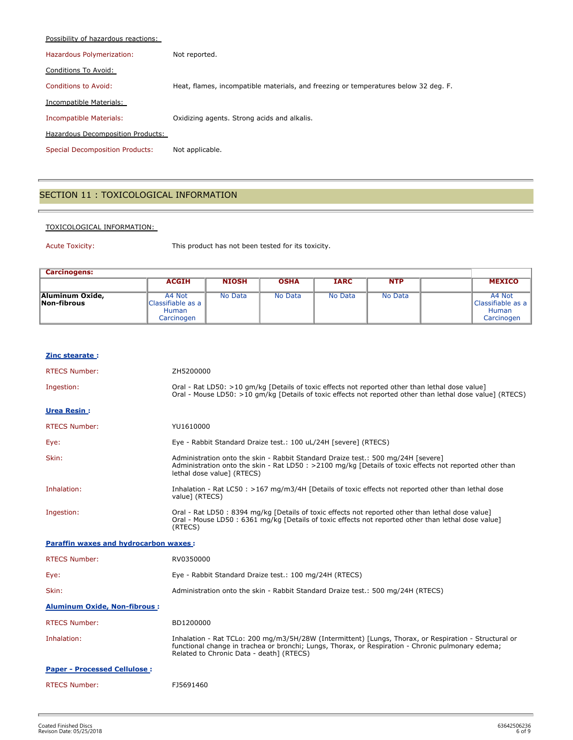| Possibility of hazardous reactions:    |                                                                                     |
|----------------------------------------|-------------------------------------------------------------------------------------|
| Hazardous Polymerization:              | Not reported.                                                                       |
| Conditions To Avoid:                   |                                                                                     |
| Conditions to Avoid:                   | Heat, flames, incompatible materials, and freezing or temperatures below 32 deg. F. |
| Incompatible Materials:                |                                                                                     |
| Incompatible Materials:                | Oxidizing agents. Strong acids and alkalis.                                         |
| Hazardous Decomposition Products:      |                                                                                     |
| <b>Special Decomposition Products:</b> | Not applicable.                                                                     |

# SECTION 11 : TOXICOLOGICAL INFORMATION

### TOXICOLOGICAL INFORMATION:

Acute Toxicity: This product has not been tested for its toxicity.

| <b>Carcinogens:</b>            |                                                           |              |             |             |            |  |                                                           |
|--------------------------------|-----------------------------------------------------------|--------------|-------------|-------------|------------|--|-----------------------------------------------------------|
|                                | <b>ACGIH</b>                                              | <b>NIOSH</b> | <b>OSHA</b> | <b>IARC</b> | <b>NTP</b> |  | <b>MEXICO</b>                                             |
| Aluminum Oxide,<br>Non-fibrous | A4 Not<br>Classifiable as a<br><b>Human</b><br>Carcinogen | No Data      | No Data     | No Data     | No Data    |  | A4 Not<br>Classifiable as a<br><b>Human</b><br>Carcinogen |

| Zinc stearate:                               |                                                                                                                                                                                                                                                        |
|----------------------------------------------|--------------------------------------------------------------------------------------------------------------------------------------------------------------------------------------------------------------------------------------------------------|
| <b>RTECS Number:</b>                         | ZH5200000                                                                                                                                                                                                                                              |
| Ingestion:                                   | Oral - Rat LD50: >10 gm/kg [Details of toxic effects not reported other than lethal dose value]<br>Oral - Mouse LD50: >10 qm/kq [Details of toxic effects not reported other than lethal dose value] (RTECS)                                           |
| <b>Urea Resin:</b>                           |                                                                                                                                                                                                                                                        |
| <b>RTECS Number:</b>                         | YU1610000                                                                                                                                                                                                                                              |
| Eye:                                         | Eye - Rabbit Standard Draize test.: 100 uL/24H [severe] (RTECS)                                                                                                                                                                                        |
| Skin:                                        | Administration onto the skin - Rabbit Standard Draize test.: 500 mg/24H [severe]<br>Administration onto the skin - Rat LD50 : >2100 mg/kg [Details of toxic effects not reported other than<br>lethal dose value] (RTECS)                              |
| Inhalation:                                  | Inhalation - Rat LC50 : >167 mg/m3/4H [Details of toxic effects not reported other than lethal dose<br>value] (RTECS)                                                                                                                                  |
| Ingestion:                                   | Oral - Rat LD50: 8394 mg/kg [Details of toxic effects not reported other than lethal dose value]<br>Oral - Mouse LD50 : 6361 mg/kg [Details of toxic effects not reported other than lethal dose value]<br>(RTECS)                                     |
| <b>Paraffin waxes and hydrocarbon waxes:</b> |                                                                                                                                                                                                                                                        |
| <b>RTECS Number:</b>                         | RV0350000                                                                                                                                                                                                                                              |
| Eye:                                         | Eye - Rabbit Standard Draize test.: 100 mg/24H (RTECS)                                                                                                                                                                                                 |
| Skin:                                        | Administration onto the skin - Rabbit Standard Draize test.: 500 mg/24H (RTECS)                                                                                                                                                                        |
| <b>Aluminum Oxide, Non-fibrous:</b>          |                                                                                                                                                                                                                                                        |
| <b>RTECS Number:</b>                         | BD1200000                                                                                                                                                                                                                                              |
| Inhalation:                                  | Inhalation - Rat TCLo: 200 mg/m3/5H/28W (Intermittent) [Lungs, Thorax, or Respiration - Structural or<br>functional change in trachea or bronchi; Lungs, Thorax, or Respiration - Chronic pulmonary edema;<br>Related to Chronic Data - death] (RTECS) |
| <b>Paper - Processed Cellulose:</b>          |                                                                                                                                                                                                                                                        |
| <b>RTECS Number:</b>                         | FJ5691460                                                                                                                                                                                                                                              |
|                                              |                                                                                                                                                                                                                                                        |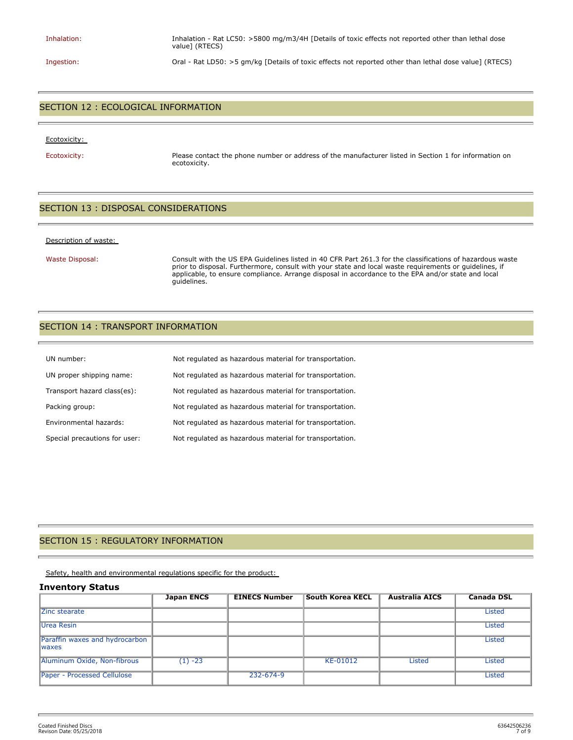Inhalation: Inhalation - Rat LC50: >5800 mg/m3/4H [Details of toxic effects not reported other than lethal dose value] (RTECS)

Ingestion: Oral - Rat LD50: >5 gm/kg [Details of toxic effects not reported other than lethal dose value] (RTECS)

### SECTION 12 : ECOLOGICAL INFORMATION

#### Ecotoxicity:

Ecotoxicity: Please contact the phone number or address of the manufacturer listed in Section 1 for information on ecotoxicity.

### SECTION 13 : DISPOSAL CONSIDERATIONS

#### Description of waste:

Waste Disposal: Consult with the US EPA Guidelines listed in 40 CFR Part 261.3 for the classifications of hazardous waste prior to disposal. Furthermore, consult with your state and local waste requirements or guidelines, if applicable, to ensure compliance. Arrange disposal in accordance to the EPA and/or state and local guidelines.

### SECTION 14 : TRANSPORT INFORMATION

| UN number:                    | Not regulated as hazardous material for transportation. |
|-------------------------------|---------------------------------------------------------|
| UN proper shipping name:      | Not regulated as hazardous material for transportation. |
| Transport hazard class(es):   | Not regulated as hazardous material for transportation. |
| Packing group:                | Not regulated as hazardous material for transportation. |
| Environmental hazards:        | Not regulated as hazardous material for transportation. |
| Special precautions for user: | Not regulated as hazardous material for transportation. |

### SECTION 15 : REGULATORY INFORMATION

Safety, health and environmental regulations specific for the product:

#### **Inventory Status**

|                                                 | <b>Japan ENCS</b> | <b>EINECS Number</b> | <b>South Korea KECL</b> | <b>Australia AICS</b> | <b>Canada DSL</b> |
|-------------------------------------------------|-------------------|----------------------|-------------------------|-----------------------|-------------------|
| Zinc stearate                                   |                   |                      |                         |                       | <b>Listed</b>     |
| Urea Resin                                      |                   |                      |                         |                       | <b>Listed</b>     |
| Paraffin waxes and hydrocarbon<br><b>Iwaxes</b> |                   |                      |                         |                       | <b>Listed</b>     |
| Aluminum Oxide, Non-fibrous                     | $(1) -23$         |                      | KE-01012                | <b>Listed</b>         | Listed            |
| <b>Paper - Processed Cellulose</b>              |                   | 232-674-9            |                         |                       | <b>Listed</b>     |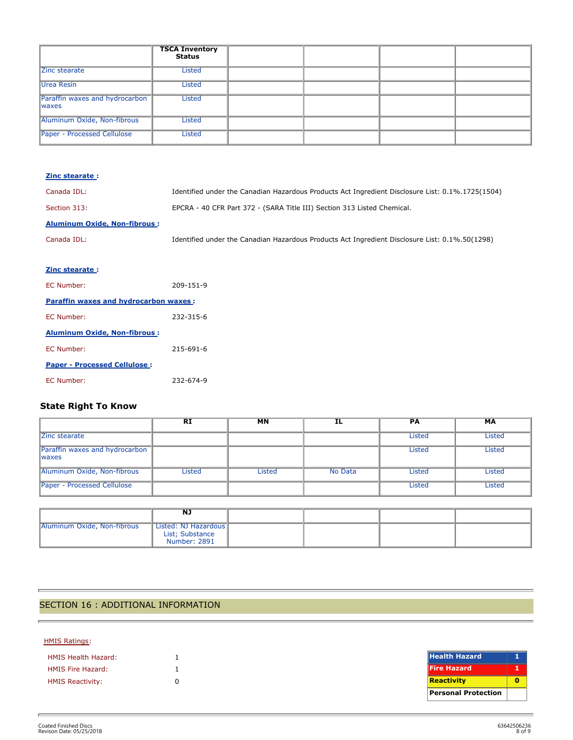|                                                 | <b>TSCA Inventory</b><br>Status |  |  |
|-------------------------------------------------|---------------------------------|--|--|
| Zinc stearate                                   | Listed                          |  |  |
| Urea Resin                                      | Listed                          |  |  |
| Paraffin waxes and hydrocarbon<br><b>Iwaxes</b> | Listed                          |  |  |
| Aluminum Oxide, Non-fibrous                     | Listed                          |  |  |
| Paper - Processed Cellulose                     | Listed                          |  |  |

| Zinc stearate:                        |                                                                                                  |
|---------------------------------------|--------------------------------------------------------------------------------------------------|
| Canada IDL:                           | Identified under the Canadian Hazardous Products Act Ingredient Disclosure List: 0.1%.1725(1504) |
| Section 313:                          | EPCRA - 40 CFR Part 372 - (SARA Title III) Section 313 Listed Chemical.                          |
| <b>Aluminum Oxide, Non-fibrous:</b>   |                                                                                                  |
| Canada IDL:                           | Identified under the Canadian Hazardous Products Act Ingredient Disclosure List: 0.1%.50(1298)   |
|                                       |                                                                                                  |
| Zinc stearate:                        |                                                                                                  |
| EC Number:                            | 209-151-9                                                                                        |
| Paraffin waxes and hydrocarbon waxes: |                                                                                                  |
| EC Number:                            | 232-315-6                                                                                        |
| <b>Aluminum Oxide, Non-fibrous:</b>   |                                                                                                  |
| EC Number:                            | 215-691-6                                                                                        |
| <b>Paper - Processed Cellulose:</b>   |                                                                                                  |
| EC Number:                            | 232-674-9                                                                                        |

# **State Right To Know**

|                                                 | <b>RI</b> | <b>MN</b>     | ΙL             | <b>PA</b>     | МA            |
|-------------------------------------------------|-----------|---------------|----------------|---------------|---------------|
| Zinc stearate                                   |           |               |                | <b>Listed</b> | <b>Listed</b> |
| Paraffin waxes and hydrocarbon<br><b>Iwaxes</b> |           |               |                | <b>Listed</b> | <b>Listed</b> |
| Aluminum Oxide, Non-fibrous                     | Listed    | <b>Listed</b> | <b>No Data</b> | <b>Listed</b> | <b>Listed</b> |
| Paper - Processed Cellulose                     |           |               |                | Listed        | Listed        |

|                             | NJ                                      |  |  |
|-----------------------------|-----------------------------------------|--|--|
| Aluminum Oxide, Non-fibrous | Listed: NJ Hazardous<br>List; Substance |  |  |
|                             | <b>Number: 2891</b>                     |  |  |

# SECTION 16 : ADDITIONAL INFORMATION

### HMIS Ratings:

| <b>HMIS Health Hazard:</b> |   |
|----------------------------|---|
| <b>HMIS Fire Hazard:</b>   |   |
| <b>HMIS Reactivity:</b>    | n |

| <b>Health Hazard</b>       |  |
|----------------------------|--|
| <b>Fire Hazard</b>         |  |
| Reactivity                 |  |
| <b>Personal Protection</b> |  |